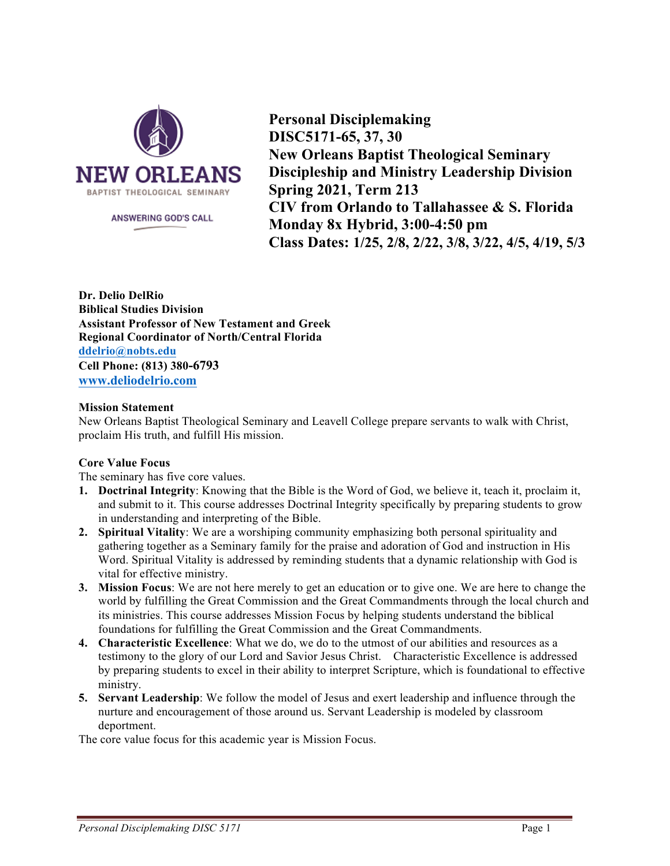

ANSWERING GOD'S CALL

**Personal Disciplemaking DISC5171-65, 37, 30 New Orleans Baptist Theological Seminary Discipleship and Ministry Leadership Division Spring 2021, Term 213 CIV from Orlando to Tallahassee & S. Florida Monday 8x Hybrid, 3:00-4:50 pm Class Dates: 1/25, 2/8, 2/22, 3/8, 3/22, 4/5, 4/19, 5/3**

**Dr. Delio DelRio Biblical Studies Division Assistant Professor of New Testament and Greek Regional Coordinator of North/Central Florida ddelrio@nobts.edu Cell Phone: (813) 380-6793 www.deliodelrio.com**

### **Mission Statement**

New Orleans Baptist Theological Seminary and Leavell College prepare servants to walk with Christ, proclaim His truth, and fulfill His mission.

### **Core Value Focus**

The seminary has five core values.

- **1. Doctrinal Integrity**: Knowing that the Bible is the Word of God, we believe it, teach it, proclaim it, and submit to it. This course addresses Doctrinal Integrity specifically by preparing students to grow in understanding and interpreting of the Bible.
- **2. Spiritual Vitality**: We are a worshiping community emphasizing both personal spirituality and gathering together as a Seminary family for the praise and adoration of God and instruction in His Word. Spiritual Vitality is addressed by reminding students that a dynamic relationship with God is vital for effective ministry.
- **3. Mission Focus**: We are not here merely to get an education or to give one. We are here to change the world by fulfilling the Great Commission and the Great Commandments through the local church and its ministries. This course addresses Mission Focus by helping students understand the biblical foundations for fulfilling the Great Commission and the Great Commandments.
- **4. Characteristic Excellence**: What we do, we do to the utmost of our abilities and resources as a testimony to the glory of our Lord and Savior Jesus Christ. Characteristic Excellence is addressed by preparing students to excel in their ability to interpret Scripture, which is foundational to effective ministry.
- **5. Servant Leadership**: We follow the model of Jesus and exert leadership and influence through the nurture and encouragement of those around us. Servant Leadership is modeled by classroom deportment.

The core value focus for this academic year is Mission Focus.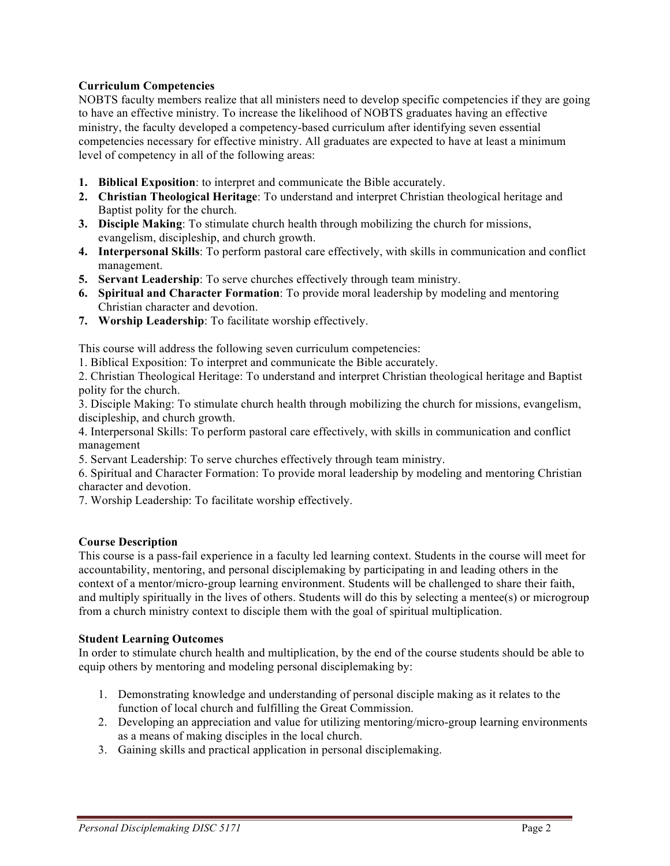## **Curriculum Competencies**

NOBTS faculty members realize that all ministers need to develop specific competencies if they are going to have an effective ministry. To increase the likelihood of NOBTS graduates having an effective ministry, the faculty developed a competency-based curriculum after identifying seven essential competencies necessary for effective ministry. All graduates are expected to have at least a minimum level of competency in all of the following areas:

- **1. Biblical Exposition**: to interpret and communicate the Bible accurately.
- **2. Christian Theological Heritage**: To understand and interpret Christian theological heritage and Baptist polity for the church.
- **3. Disciple Making**: To stimulate church health through mobilizing the church for missions, evangelism, discipleship, and church growth.
- **4. Interpersonal Skills**: To perform pastoral care effectively, with skills in communication and conflict management.
- **5. Servant Leadership**: To serve churches effectively through team ministry.
- **6. Spiritual and Character Formation**: To provide moral leadership by modeling and mentoring Christian character and devotion.
- **7. Worship Leadership**: To facilitate worship effectively.

This course will address the following seven curriculum competencies:

1. Biblical Exposition: To interpret and communicate the Bible accurately.

2. Christian Theological Heritage: To understand and interpret Christian theological heritage and Baptist polity for the church.

3. Disciple Making: To stimulate church health through mobilizing the church for missions, evangelism, discipleship, and church growth.

4. Interpersonal Skills: To perform pastoral care effectively, with skills in communication and conflict management

5. Servant Leadership: To serve churches effectively through team ministry.

6. Spiritual and Character Formation: To provide moral leadership by modeling and mentoring Christian character and devotion.

7. Worship Leadership: To facilitate worship effectively.

### **Course Description**

This course is a pass-fail experience in a faculty led learning context. Students in the course will meet for accountability, mentoring, and personal disciplemaking by participating in and leading others in the context of a mentor/micro-group learning environment. Students will be challenged to share their faith, and multiply spiritually in the lives of others. Students will do this by selecting a mentee(s) or microgroup from a church ministry context to disciple them with the goal of spiritual multiplication.

### **Student Learning Outcomes**

In order to stimulate church health and multiplication, by the end of the course students should be able to equip others by mentoring and modeling personal disciplemaking by:

- 1. Demonstrating knowledge and understanding of personal disciple making as it relates to the function of local church and fulfilling the Great Commission.
- 2. Developing an appreciation and value for utilizing mentoring/micro-group learning environments as a means of making disciples in the local church.
- 3. Gaining skills and practical application in personal disciplemaking.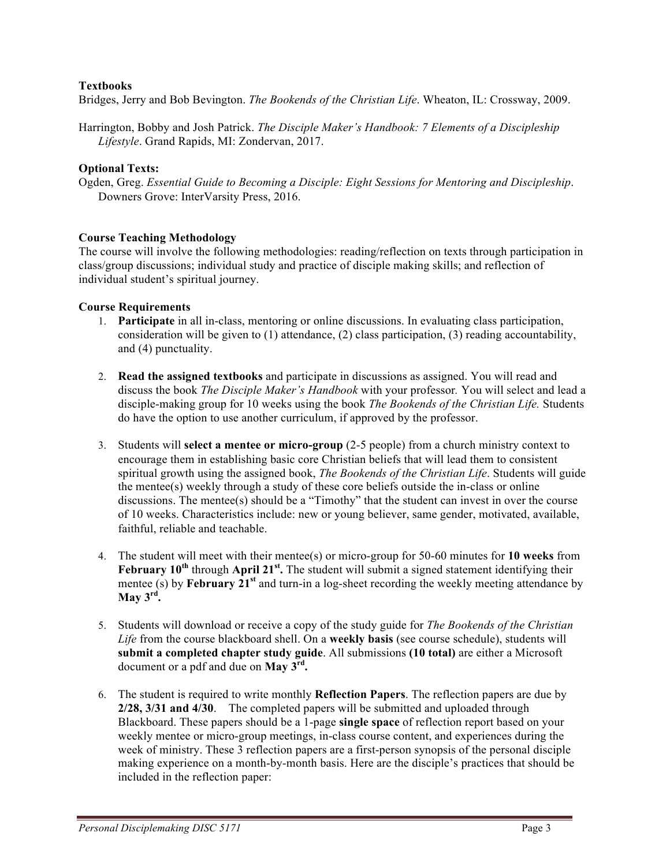### **Textbooks**

Bridges, Jerry and Bob Bevington. *The Bookends of the Christian Life*. Wheaton, IL: Crossway, 2009.

Harrington, Bobby and Josh Patrick. *The Disciple Maker's Handbook: 7 Elements of a Discipleship Lifestyle*. Grand Rapids, MI: Zondervan, 2017.

### **Optional Texts:**

Ogden, Greg. *Essential Guide to Becoming a Disciple: Eight Sessions for Mentoring and Discipleship*. Downers Grove: InterVarsity Press, 2016.

### **Course Teaching Methodology**

The course will involve the following methodologies: reading/reflection on texts through participation in class/group discussions; individual study and practice of disciple making skills; and reflection of individual student's spiritual journey.

### **Course Requirements**

- 1. **Participate** in all in-class, mentoring or online discussions. In evaluating class participation, consideration will be given to  $(1)$  attendance,  $(2)$  class participation,  $(3)$  reading accountability, and (4) punctuality.
- 2. **Read the assigned textbooks** and participate in discussions as assigned. You will read and discuss the book *The Disciple Maker's Handbook* with your professor*.* You will select and lead a disciple-making group for 10 weeks using the book *The Bookends of the Christian Life.* Students do have the option to use another curriculum, if approved by the professor.
- 3. Students will **select a mentee or micro-group** (2-5 people) from a church ministry context to encourage them in establishing basic core Christian beliefs that will lead them to consistent spiritual growth using the assigned book, *The Bookends of the Christian Life*. Students will guide the mentee(s) weekly through a study of these core beliefs outside the in-class or online discussions. The mentee(s) should be a "Timothy" that the student can invest in over the course of 10 weeks. Characteristics include: new or young believer, same gender, motivated, available, faithful, reliable and teachable.
- 4. The student will meet with their mentee(s) or micro-group for 50-60 minutes for **10 weeks** from **February 10th** through **April 21st.** The student will submit a signed statement identifying their mentee (s) by **February 21<sup>st</sup>** and turn-in a log-sheet recording the weekly meeting attendance by **May 3rd.**
- 5. Students will download or receive a copy of the study guide for *The Bookends of the Christian Life* from the course blackboard shell. On a **weekly basis** (see course schedule), students will **submit a completed chapter study guide**. All submissions **(10 total)** are either a Microsoft document or a pdf and due on **May 3rd.**
- 6. The student is required to write monthly **Reflection Papers**. The reflection papers are due by **2/28, 3/31 and 4/30**. The completed papers will be submitted and uploaded through Blackboard. These papers should be a 1-page **single space** of reflection report based on your weekly mentee or micro-group meetings, in-class course content, and experiences during the week of ministry. These 3 reflection papers are a first-person synopsis of the personal disciple making experience on a month-by-month basis. Here are the disciple's practices that should be included in the reflection paper: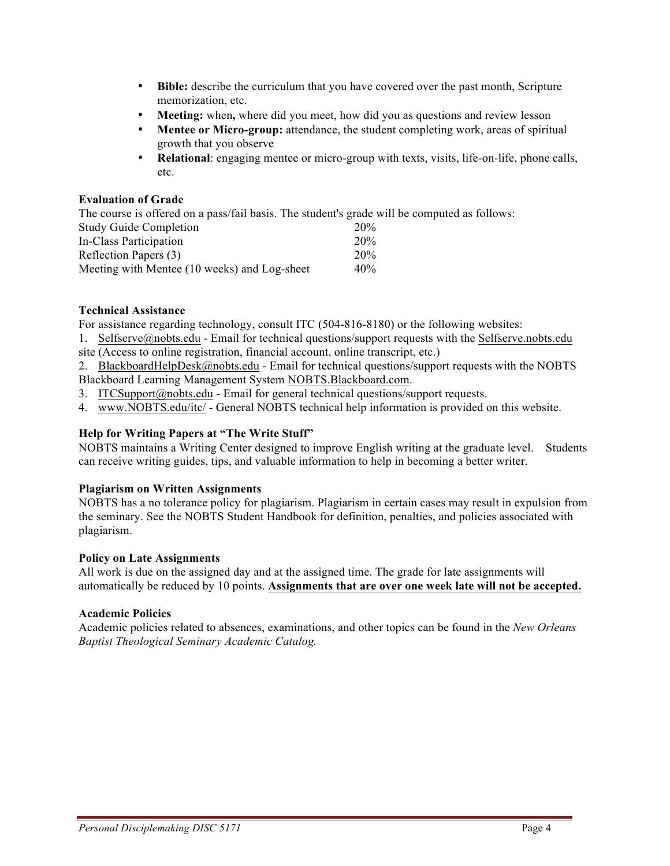- **Bible:** describe the curriculum that you have covered over the past month, Scripture memorization, etc.
- Meeting: when, where did you meet, how did you as questions and review lesson
- **Mentee or Micro-group:** attendance, the student completing work, areas of spiritual growth that you observe
- **Relational**: engaging mentee or micro-group with texts, visits, life-on-life, phone calls, etc.

### **Evaluation of Grade**

The course is offered on a pass/fail basis. The student's grade will be computed as follows:

| <b>Study Guide Completion</b>                | 20%    |
|----------------------------------------------|--------|
| In-Class Participation                       | 20%    |
| Reflection Papers (3)                        | 20%    |
| Meeting with Mentee (10 weeks) and Log-sheet | $40\%$ |

## **Technical Assistance**

For assistance regarding technology, consult ITC (504-816-8180) or the following websites:

1. Selfserve@nobts.edu - Email for technical questions/support requests with the Selfserve.nobts.edu site (Access to online registration, financial account, online transcript, etc.)

2. BlackboardHelpDesk@nobts.edu - Email for technical questions/support requests with the NOBTS Blackboard Learning Management System NOBTS.Blackboard.com.

3. ITCSupport@nobts.edu - Email for general technical questions/support requests.

4. www.NOBTS.edu/itc/ - General NOBTS technical help information is provided on this website.

## **Help for Writing Papers at "The Write Stuff"**

NOBTS maintains a Writing Center designed to improve English writing at the graduate level. Students can receive writing guides, tips, and valuable information to help in becoming a better writer.

### **Plagiarism on Written Assignments**

NOBTS has a no tolerance policy for plagiarism. Plagiarism in certain cases may result in expulsion from the seminary. See the NOBTS Student Handbook for definition, penalties, and policies associated with plagiarism.

### **Policy on Late Assignments**

All work is due on the assigned day and at the assigned time. The grade for late assignments will automatically be reduced by 10 points. **Assignments that are over one week late will not be accepted.**

### **Academic Policies**

Academic policies related to absences, examinations, and other topics can be found in the *New Orleans Baptist Theological Seminary Academic Catalog.*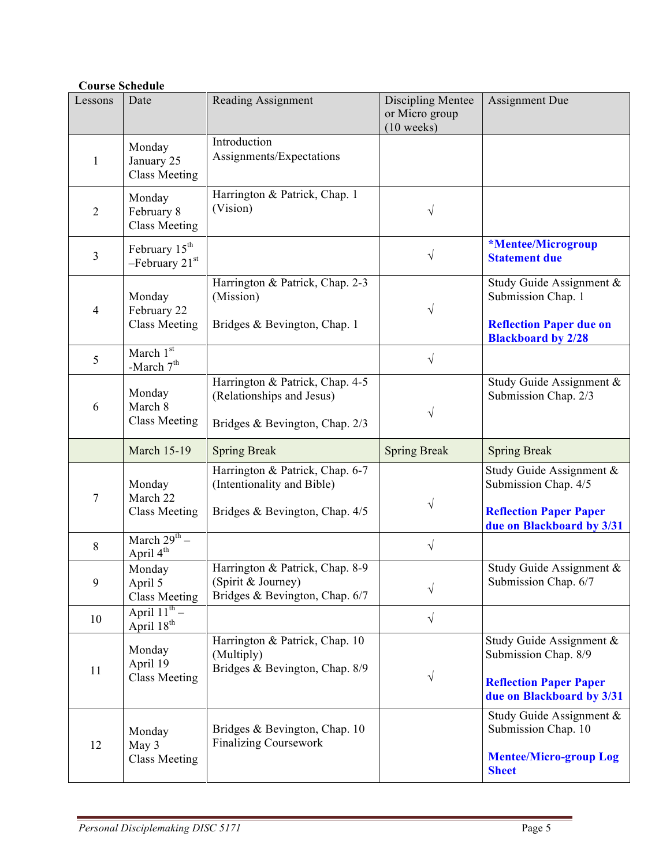# **Course Schedule**

| Lessons        | Date                                           | Reading Assignment                                                                               | <b>Discipling Mentee</b><br>or Micro group<br>$(10$ weeks) | <b>Assignment Due</b>                                                                                          |
|----------------|------------------------------------------------|--------------------------------------------------------------------------------------------------|------------------------------------------------------------|----------------------------------------------------------------------------------------------------------------|
| 1              | Monday<br>January 25<br><b>Class Meeting</b>   | Introduction<br>Assignments/Expectations                                                         |                                                            |                                                                                                                |
| $\overline{2}$ | Monday<br>February 8<br><b>Class Meeting</b>   | Harrington & Patrick, Chap. 1<br>(Vision)                                                        | V                                                          |                                                                                                                |
| $\overline{3}$ | February 15 <sup>th</sup><br>$-$ February 21st |                                                                                                  | $\sqrt{}$                                                  | *Mentee/Microgroup<br><b>Statement due</b>                                                                     |
| $\overline{4}$ | Monday<br>February 22<br><b>Class Meeting</b>  | Harrington & Patrick, Chap. 2-3<br>(Mission)<br>Bridges & Bevington, Chap. 1                     | V                                                          | Study Guide Assignment &<br>Submission Chap. 1<br><b>Reflection Paper due on</b><br><b>Blackboard by 2/28</b>  |
| 5              | March 1st<br>-March $7^{\rm th}$               |                                                                                                  | $\sqrt{}$                                                  |                                                                                                                |
| 6              | Monday<br>March 8<br><b>Class Meeting</b>      | Harrington & Patrick, Chap. 4-5<br>(Relationships and Jesus)<br>Bridges & Bevington, Chap. 2/3   | V                                                          | Study Guide Assignment &<br>Submission Chap. 2/3                                                               |
|                | <b>March 15-19</b>                             | <b>Spring Break</b>                                                                              | <b>Spring Break</b>                                        | <b>Spring Break</b>                                                                                            |
| 7              | Monday<br>March 22<br><b>Class Meeting</b>     | Harrington & Patrick, Chap. 6-7<br>(Intentionality and Bible)<br>Bridges & Bevington, Chap. 4/5  | $\sqrt{}$                                                  | Study Guide Assignment &<br>Submission Chap. 4/5<br><b>Reflection Paper Paper</b><br>due on Blackboard by 3/31 |
| $8\,$          | March $29^{th}$ –<br>April 4 <sup>th</sup>     |                                                                                                  | $\sqrt{}$                                                  |                                                                                                                |
| 9              | Monday<br>April 5<br><b>Class Meeting</b>      | Harrington & Patrick, Chap. 8-9<br>$(Spirit \&\text{Journey})$<br>Bridges & Bevington, Chap. 6/7 | $\sqrt{}$                                                  | Study Guide Assignment &<br>Submission Chap. 6/7                                                               |
| 10             | April $11^{th}$ –<br>April 18 <sup>th</sup>    |                                                                                                  | $\sqrt{}$                                                  |                                                                                                                |
| 11             | Monday<br>April 19<br><b>Class Meeting</b>     | Harrington & Patrick, Chap. 10<br>(Multiply)<br>Bridges & Bevington, Chap. 8/9                   | $\sqrt{}$                                                  | Study Guide Assignment &<br>Submission Chap. 8/9<br><b>Reflection Paper Paper</b><br>due on Blackboard by 3/31 |
| 12             | Monday<br>May 3                                | Bridges & Bevington, Chap. 10<br><b>Finalizing Coursework</b>                                    |                                                            | Study Guide Assignment &<br>Submission Chap. 10                                                                |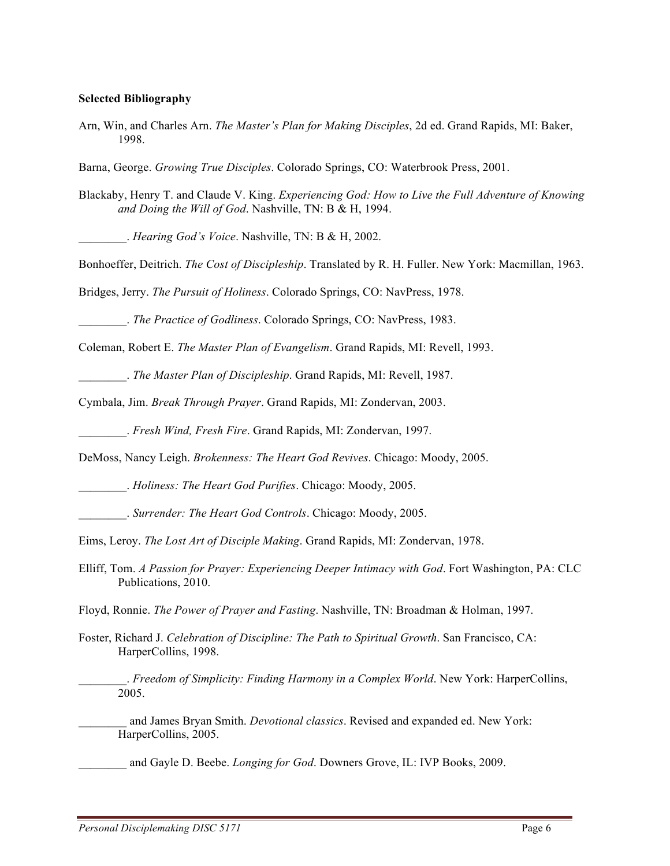#### **Selected Bibliography**

Arn, Win, and Charles Arn. *The Master's Plan for Making Disciples*, 2d ed. Grand Rapids, MI: Baker, 1998.

Barna, George. *Growing True Disciples*. Colorado Springs, CO: Waterbrook Press, 2001.

Blackaby, Henry T. and Claude V. King. *Experiencing God: How to Live the Full Adventure of Knowing and Doing the Will of God*. Nashville, TN: B & H, 1994.

\_\_\_\_\_\_\_\_. *Hearing God's Voice*. Nashville, TN: B & H, 2002.

Bonhoeffer, Deitrich. *The Cost of Discipleship*. Translated by R. H. Fuller. New York: Macmillan, 1963.

Bridges, Jerry. *The Pursuit of Holiness*. Colorado Springs, CO: NavPress, 1978.

\_\_\_\_\_\_\_\_. *The Practice of Godliness*. Colorado Springs, CO: NavPress, 1983.

Coleman, Robert E. *The Master Plan of Evangelism*. Grand Rapids, MI: Revell, 1993.

\_\_\_\_\_\_\_\_. *The Master Plan of Discipleship*. Grand Rapids, MI: Revell, 1987.

Cymbala, Jim. *Break Through Prayer*. Grand Rapids, MI: Zondervan, 2003.

\_\_\_\_\_\_\_\_. *Fresh Wind, Fresh Fire*. Grand Rapids, MI: Zondervan, 1997.

DeMoss, Nancy Leigh. *Brokenness: The Heart God Revives*. Chicago: Moody, 2005.

\_\_\_\_\_\_\_\_. *Holiness: The Heart God Purifies*. Chicago: Moody, 2005.

\_\_\_\_\_\_\_\_. *Surrender: The Heart God Controls*. Chicago: Moody, 2005.

Eims, Leroy. *The Lost Art of Disciple Making*. Grand Rapids, MI: Zondervan, 1978.

Elliff, Tom. *A Passion for Prayer: Experiencing Deeper Intimacy with God*. Fort Washington, PA: CLC Publications, 2010.

Floyd, Ronnie. *The Power of Prayer and Fasting*. Nashville, TN: Broadman & Holman, 1997.

Foster, Richard J. *Celebration of Discipline: The Path to Spiritual Growth*. San Francisco, CA: HarperCollins, 1998.

\_\_\_\_\_\_\_\_. *Freedom of Simplicity: Finding Harmony in a Complex World*. New York: HarperCollins, 2005.

and James Bryan Smith. *Devotional classics*. Revised and expanded ed. New York: HarperCollins, 2005.

\_\_\_\_\_\_\_\_ and Gayle D. Beebe. *Longing for God*. Downers Grove, IL: IVP Books, 2009.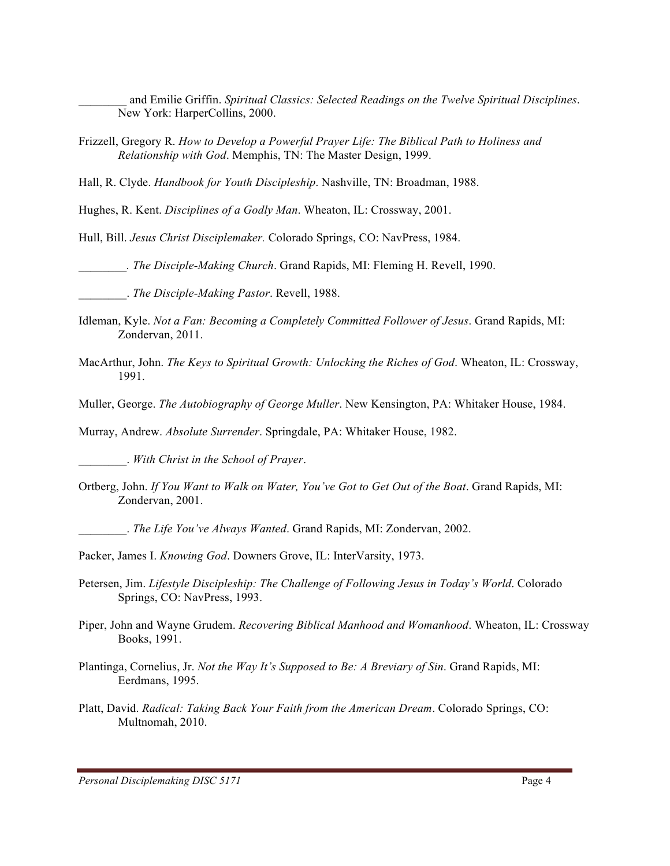\_\_\_\_\_\_\_\_ and Emilie Griffin. *Spiritual Classics: Selected Readings on the Twelve Spiritual Disciplines*. New York: HarperCollins, 2000.

Frizzell, Gregory R. *How to Develop a Powerful Prayer Life: The Biblical Path to Holiness and Relationship with God*. Memphis, TN: The Master Design, 1999.

Hall, R. Clyde. *Handbook for Youth Discipleship*. Nashville, TN: Broadman, 1988.

Hughes, R. Kent. *Disciplines of a Godly Man*. Wheaton, IL: Crossway, 2001.

Hull, Bill. *Jesus Christ Disciplemaker.* Colorado Springs, CO: NavPress, 1984.

*\_\_\_\_\_\_\_\_. The Disciple-Making Church*. Grand Rapids, MI: Fleming H. Revell, 1990.

\_\_\_\_\_\_\_\_. *The Disciple-Making Pastor*. Revell, 1988.

- Idleman, Kyle. *Not a Fan: Becoming a Completely Committed Follower of Jesus*. Grand Rapids, MI: Zondervan, 2011.
- MacArthur, John. *The Keys to Spiritual Growth: Unlocking the Riches of God*. Wheaton, IL: Crossway, 1991.

Muller, George. *The Autobiography of George Muller*. New Kensington, PA: Whitaker House, 1984.

Murray, Andrew. *Absolute Surrender*. Springdale, PA: Whitaker House, 1982.

\_\_\_\_\_\_\_\_. *With Christ in the School of Prayer*.

Ortberg, John. *If You Want to Walk on Water, You've Got to Get Out of the Boat*. Grand Rapids, MI: Zondervan, 2001.

\_\_\_\_\_\_\_\_. *The Life You've Always Wanted*. Grand Rapids, MI: Zondervan, 2002.

Packer, James I. *Knowing God*. Downers Grove, IL: InterVarsity, 1973.

- Petersen, Jim. *Lifestyle Discipleship: The Challenge of Following Jesus in Today's World*. Colorado Springs, CO: NavPress, 1993.
- Piper, John and Wayne Grudem. *Recovering Biblical Manhood and Womanhood*. Wheaton, IL: Crossway Books, 1991.

Plantinga, Cornelius, Jr. *Not the Way It's Supposed to Be: A Breviary of Sin*. Grand Rapids, MI: Eerdmans, 1995.

Platt, David. *Radical: Taking Back Your Faith from the American Dream*. Colorado Springs, CO: Multnomah, 2010.

*Personal Disciplemaking DISC 5171* Page 4